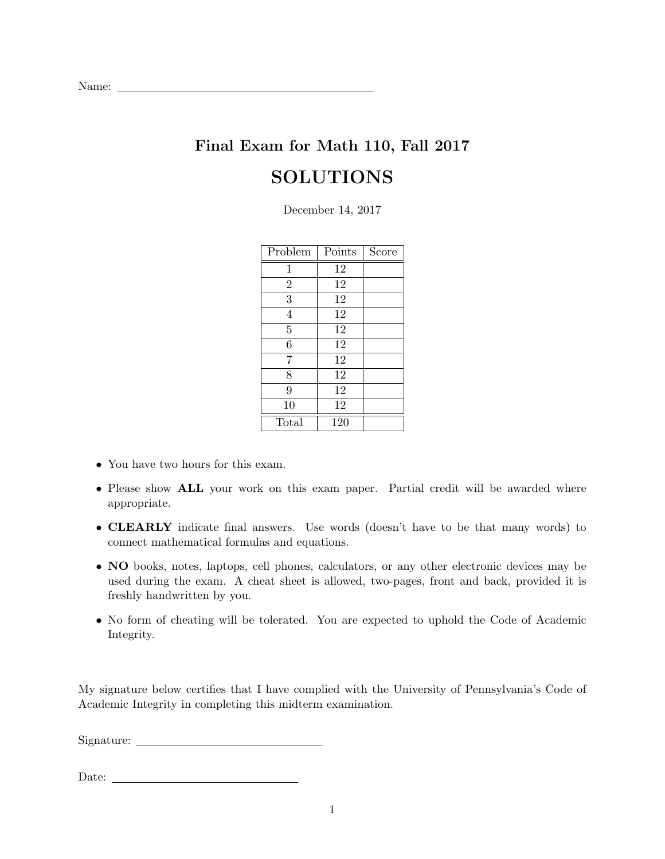## Final Exam for Math 110, Fall 2017 SOLUTIONS

December 14, 2017

| Problem        | Points | Score |
|----------------|--------|-------|
| $\mathbf 1$    | 12     |       |
| $\overline{2}$ | 12     |       |
| 3              | 12     |       |
| $\overline{4}$ | 12     |       |
| $\overline{5}$ | 12     |       |
| 6              | 12     |       |
| 7              | 12     |       |
| 8              | 12     |       |
| 9              | 12     |       |
| 10             | 12     |       |
| Total          | 120    |       |

- You have two hours for this exam.
- Please show ALL your work on this exam paper. Partial credit will be awarded where appropriate.
- CLEARLY indicate final answers. Use words (doesn't have to be that many words) to connect mathematical formulas and equations.
- NO books, notes, laptops, cell phones, calculators, or any other electronic devices may be used during the exam. A cheat sheet is allowed, two-pages, front and back, provided it is freshly handwritten by you.
- No form of cheating will be tolerated. You are expected to uphold the Code of Academic Integrity.

My signature below certifies that I have complied with the University of Pennsylvania's Code of Academic Integrity in completing this midterm examination.

Signature:

Date: <u>with the contract of the contract of the contract of the contract of the contract of the contract of the contract of the contract of the contract of the contract of the contract of the contract of the contract of th</u>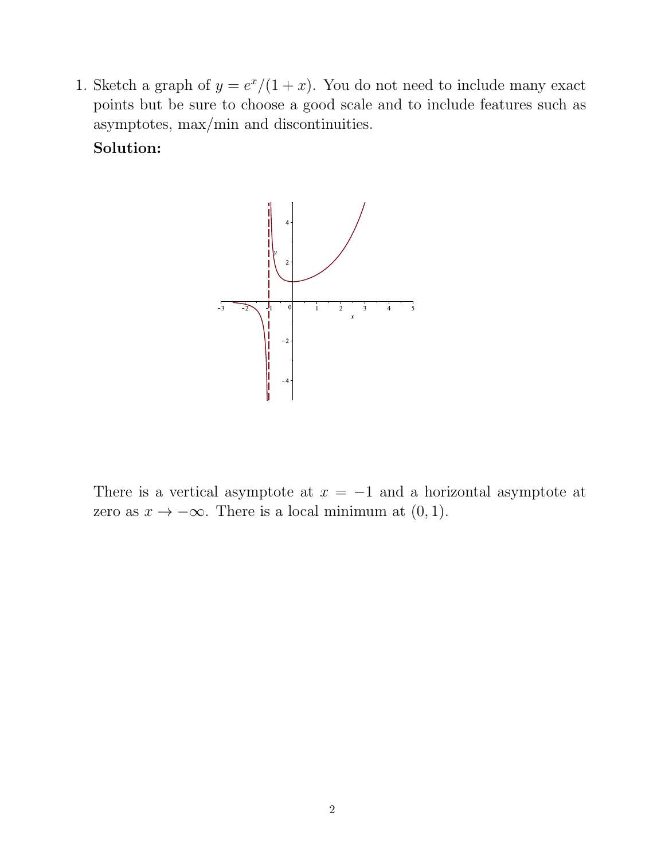1. Sketch a graph of  $y = e^x/(1+x)$ . You do not need to include many exact points but be sure to choose a good scale and to include features such as asymptotes, max/min and discontinuities.

Solution:



There is a vertical asymptote at  $x = -1$  and a horizontal asymptote at zero as  $x \to -\infty$ . There is a local minimum at  $(0, 1)$ .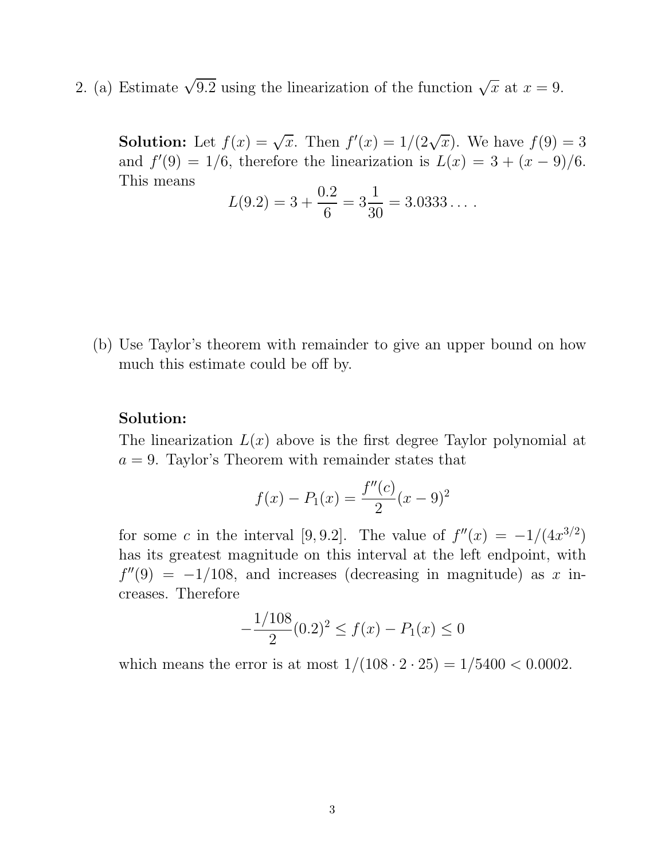2. (a) Estimate  $\sqrt{9.2}$  using the linearization of the function  $\sqrt{x}$  at  $x = 9$ .

**Solution:** Let  $f(x) = \sqrt{x}$ . Then  $f'(x) = 1/(2\sqrt{x})$ . We have  $f(9) = 3$ and  $f'(9) = 1/6$ , therefore the linearization is  $L(x) = 3 + (x - 9)/6$ . This means

$$
L(9.2) = 3 + \frac{0.2}{6} = 3\frac{1}{30} = 3.0333...
$$

(b) Use Taylor's theorem with remainder to give an upper bound on how much this estimate could be off by.

#### Solution:

The linearization  $L(x)$  above is the first degree Taylor polynomial at  $a = 9$ . Taylor's Theorem with remainder states that

$$
f(x) - P_1(x) = \frac{f''(c)}{2}(x - 9)^2
$$

for some c in the interval [9, 9.2]. The value of  $f''(x) = -1/(4x^{3/2})$ has its greatest magnitude on this interval at the left endpoint, with  $f''(9) = -1/108$ , and increases (decreasing in magnitude) as x increases. Therefore

$$
-\frac{1/108}{2}(0.2)^2 \le f(x) - P_1(x) \le 0
$$

which means the error is at most  $1/(108 \cdot 2 \cdot 25) = 1/5400 < 0.0002$ .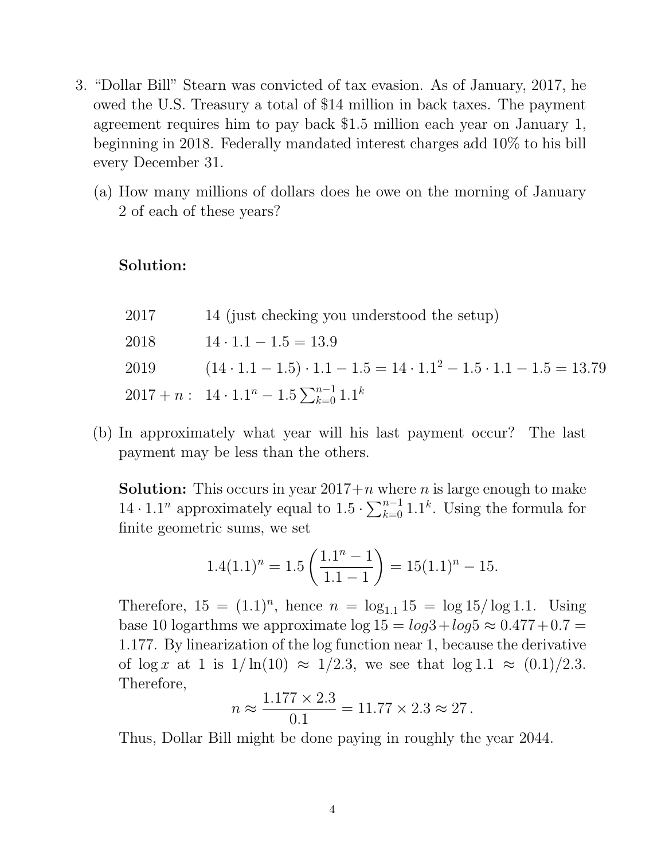- 3. "Dollar Bill" Stearn was convicted of tax evasion. As of January, 2017, he owed the U.S. Treasury a total of \$14 million in back taxes. The payment agreement requires him to pay back \$1.5 million each year on January 1, beginning in 2018. Federally mandated interest charges add 10% to his bill every December 31.
	- (a) How many millions of dollars does he owe on the morning of January 2 of each of these years?

### Solution:

| 2017 | 14 (just checking you understood the setup)                                           |
|------|---------------------------------------------------------------------------------------|
| 2018 | $14 \cdot 1.1 - 1.5 = 13.9$                                                           |
| 2019 | $(14 \cdot 1.1 - 1.5) \cdot 1.1 - 1.5 = 14 \cdot 1.1^2 - 1.5 \cdot 1.1 - 1.5 = 13.79$ |
|      | $2017 + n: 14 \cdot 1.1^n - 1.5 \sum_{k=0}^{n-1} 1.1^k$                               |

(b) In approximately what year will his last payment occur? The last payment may be less than the others.

**Solution:** This occurs in year  $2017+n$  where n is large enough to make  $14 \cdot 1.1^n$  approximately equal to  $1.5 \cdot \sum_{k=0}^{n-1} 1.1^k$ . Using the formula for finite geometric sums, we set

$$
1.4(1.1)^n = 1.5\left(\frac{1.1^n - 1}{1.1 - 1}\right) = 15(1.1)^n - 15.
$$

Therefore,  $15 = (1.1)^n$ , hence  $n = \log_{1.1} 15 = \log 15 / \log 1.1$ . Using base 10 logarthms we approximate  $\log 15 = \log 3 + \log 5 \approx 0.477 + 0.7 =$ 1.177. By linearization of the log function near 1, because the derivative of  $\log x$  at 1 is  $1/\ln(10) \approx 1/2.3$ , we see that  $\log 1.1 \approx (0.1)/2.3$ . Therefore,

$$
n \approx \frac{1.177 \times 2.3}{0.1} = 11.77 \times 2.3 \approx 27.
$$

Thus, Dollar Bill might be done paying in roughly the year 2044.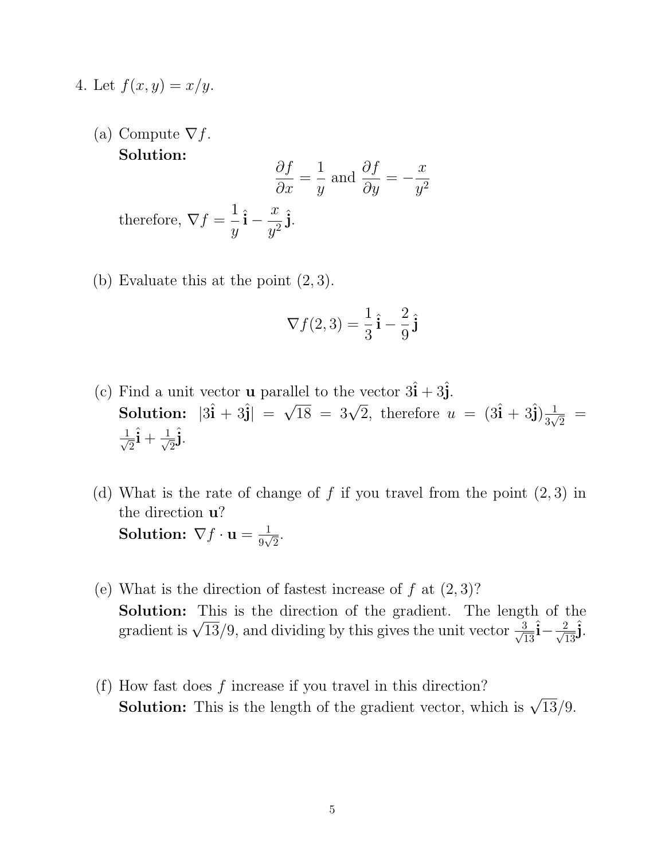- 4. Let  $f(x, y) = x/y$ .
	- (a) Compute  $\nabla f$ . Solution:

$$
\frac{\partial f}{\partial x} = \frac{1}{y} \text{ and } \frac{\partial f}{\partial y} = -\frac{x}{y^2}
$$
  
therefore,  $\nabla f = \frac{1}{y}\hat{\mathbf{i}} - \frac{x}{y^2}\hat{\mathbf{j}}.$ 

(b) Evaluate this at the point  $(2, 3)$ .

$$
\nabla f(2,3) = \frac{1}{3}\hat{\mathbf{i}} - \frac{2}{9}\hat{\mathbf{j}}
$$

- (c) Find a unit vector **u** parallel to the vector  $3\hat{\mathbf{i}} + 3\hat{\mathbf{j}}$ . Solution:  $|3\hat{i} + 3\hat{j}| = \sqrt{18} = 3\sqrt{2}$ , therefore  $u = (3\hat{i} + 3\hat{j})\frac{1}{3\sqrt{2}}$  $\frac{1}{3\sqrt{2}}$  =  $\frac{1}{\sqrt{2}}$  $\frac{1}{2} \hat{\mathbf{i}} + \frac{1}{\sqrt{2}}$  $\frac{1}{2}$ j.
- (d) What is the rate of change of f if you travel from the point  $(2, 3)$  in the direction u?  $\textbf{Solution: } \nabla f \cdot \mathbf{u} = \frac{1}{9\sqrt{3}}$  $\frac{1}{9\sqrt{2}}$ .
- (e) What is the direction of fastest increase of  $f$  at  $(2,3)$ ? Solution: This is the direction of the gradient. The length of the gradient is  $\sqrt{13}/9$ , and dividing by this gives the unit vector  $\frac{3}{\sqrt{13}}$  $\frac{3}{13}\hat{i} - \frac{2}{\sqrt{1}}$  $\frac{2}{13}$ j.
- (f) How fast does  $f$  increase if you travel in this direction? **Solution:** This is the length of the gradient vector, which is  $\sqrt{13}/9$ .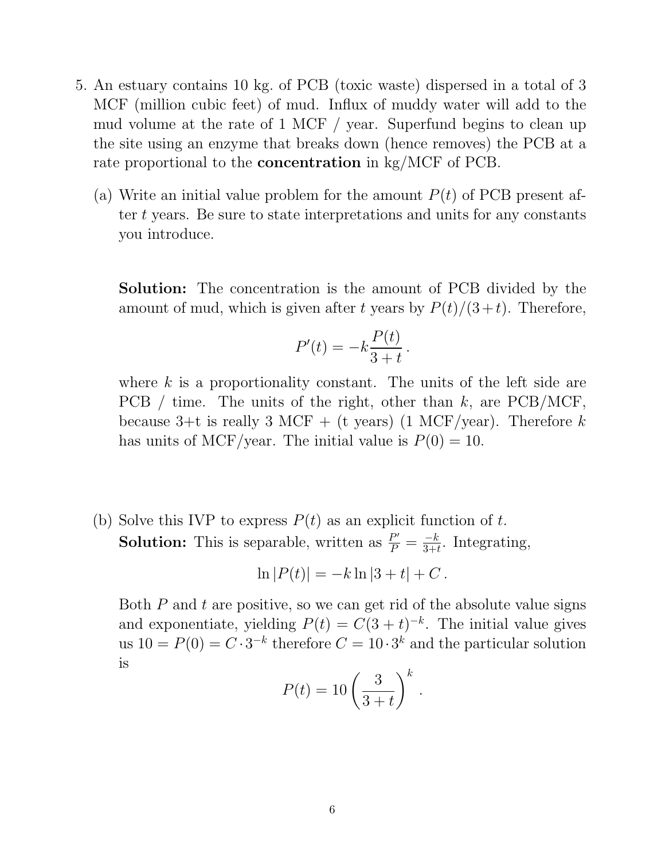- 5. An estuary contains 10 kg. of PCB (toxic waste) dispersed in a total of 3 MCF (million cubic feet) of mud. Influx of muddy water will add to the mud volume at the rate of 1 MCF / year. Superfund begins to clean up the site using an enzyme that breaks down (hence removes) the PCB at a rate proportional to the **concentration** in kg/MCF of PCB.
	- (a) Write an initial value problem for the amount  $P(t)$  of PCB present after t years. Be sure to state interpretations and units for any constants you introduce.

Solution: The concentration is the amount of PCB divided by the amount of mud, which is given after t years by  $P(t)/(3 + t)$ . Therefore,

$$
P'(t) = -k\frac{P(t)}{3+t}.
$$

where  $k$  is a proportionality constant. The units of the left side are PCB / time. The units of the right, other than  $k$ , are PCB/MCF, because 3+t is really 3 MCF + (t years) (1 MCF/year). Therefore k has units of MCF/year. The initial value is  $P(0) = 10$ .

(b) Solve this IVP to express  $P(t)$  as an explicit function of t. **Solution:** This is separable, written as  $\frac{P'}{P} = \frac{-k}{3+t}$ . Integrating,

$$
\ln |P(t)| = -k \ln |3 + t| + C.
$$

Both  $P$  and  $t$  are positive, so we can get rid of the absolute value signs and exponentiate, yielding  $P(t) = C(3 + t)^{-k}$ . The initial value gives us  $10 = P(0) = C \cdot 3^{-k}$  therefore  $C = 10 \cdot 3^{k}$  and the particular solution is

$$
P(t) = 10 \left(\frac{3}{3+t}\right)^k.
$$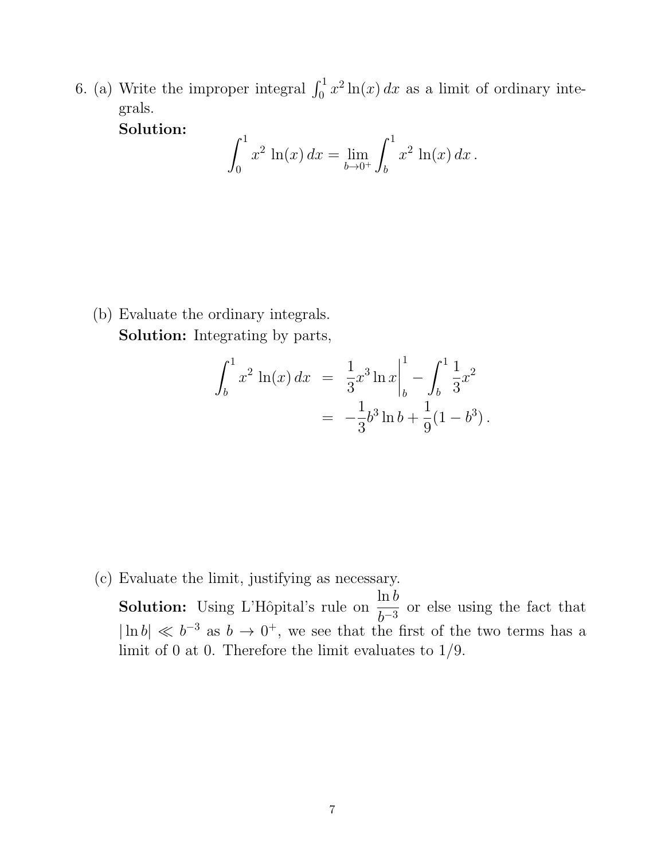6. (a) Write the improper integral  $\int_0^1 x^2 \ln(x) dx$  as a limit of ordinary integrals.

Solution:

$$
\int_0^1 x^2 \ln(x) \, dx = \lim_{b \to 0^+} \int_b^1 x^2 \ln(x) \, dx \, .
$$

(b) Evaluate the ordinary integrals. Solution: Integrating by parts,

$$
\int_b^1 x^2 \ln(x) dx = \frac{1}{3} x^3 \ln x \Big|_b^1 - \int_b^1 \frac{1}{3} x^2
$$
  
=  $-\frac{1}{3} b^3 \ln b + \frac{1}{9} (1 - b^3).$ 

(c) Evaluate the limit, justifying as necessary.

**Solution:** Using L'Hôpital's rule on  $\frac{\ln b}{b}$  $\frac{1}{b^{-3}}$  or else using the fact that  $|\ln b| \ll b^{-3}$  as  $b \to 0^+$ , we see that the first of the two terms has a limit of 0 at 0. Therefore the limit evaluates to 1/9.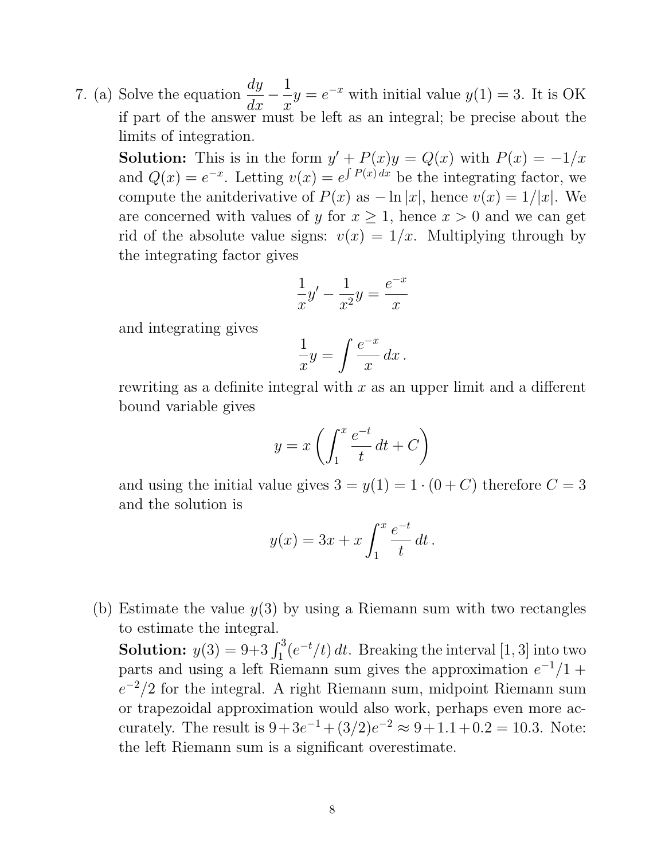7. (a) Solve the equation  $\frac{dy}{dx}$  $\frac{1}{dx}$  – 1  $\hat{x}$  $y = e^{-x}$  with initial value  $y(1) = 3$ . It is OK if part of the answer must be left as an integral; be precise about the limits of integration.

**Solution:** This is in the form  $y' + P(x)y = Q(x)$  with  $P(x) = -1/x$ and  $Q(x) = e^{-x}$ . Letting  $v(x) = e^{\int P(x) dx}$  be the integrating factor, we compute the anitderivative of  $P(x)$  as  $-\ln |x|$ , hence  $v(x) = 1/|x|$ . We are concerned with values of y for  $x \geq 1$ , hence  $x > 0$  and we can get rid of the absolute value signs:  $v(x) = 1/x$ . Multiplying through by the integrating factor gives

$$
\frac{1}{x}y' - \frac{1}{x^2}y = \frac{e^{-x}}{x}
$$

and integrating gives

$$
\frac{1}{x}y = \int \frac{e^{-x}}{x} dx.
$$

rewriting as a definite integral with  $x$  as an upper limit and a different bound variable gives

$$
y = x \left( \int_1^x \frac{e^{-t}}{t} dt + C \right)
$$

and using the initial value gives  $3 = y(1) = 1 \cdot (0 + C)$  therefore  $C = 3$ and the solution is

$$
y(x) = 3x + x \int_1^x \frac{e^{-t}}{t} dt.
$$

(b) Estimate the value  $y(3)$  by using a Riemann sum with two rectangles to estimate the integral.

**Solution:**  $y(3) = 9+3 \int_1^3 (e^{-t}/t) dt$ . Breaking the interval [1, 3] into two parts and using a left Riemann sum gives the approximation  $e^{-1}/1 +$  $e^{-2}/2$  for the integral. A right Riemann sum, midpoint Riemann sum or trapezoidal approximation would also work, perhaps even more accurately. The result is  $9+3e^{-1} + (3/2)e^{-2} \approx 9+1.1+0.2 = 10.3$ . Note: the left Riemann sum is a significant overestimate.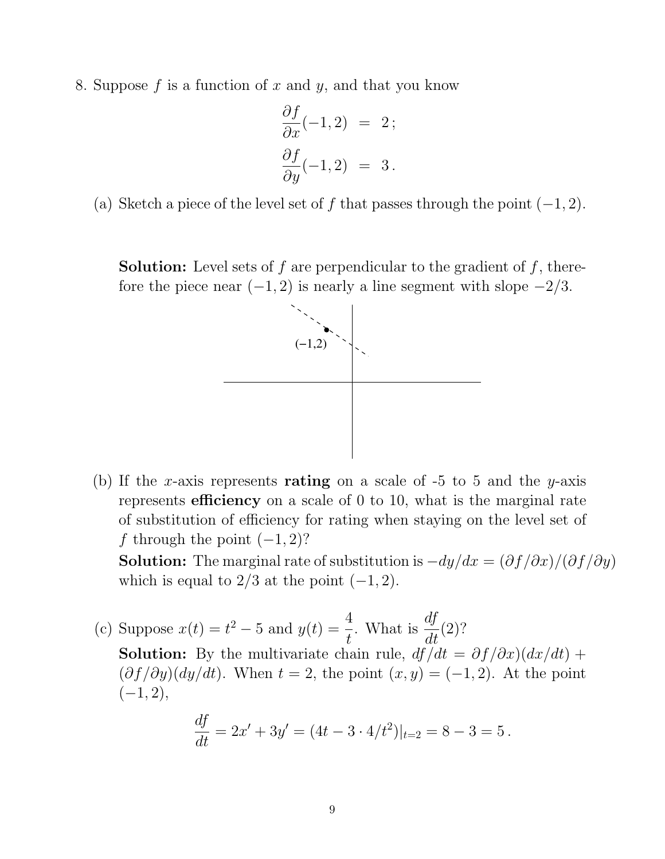8. Suppose f is a function of x and y, and that you know

$$
\frac{\partial f}{\partial x}(-1,2) = 2;
$$
  

$$
\frac{\partial f}{\partial y}(-1,2) = 3.
$$

(a) Sketch a piece of the level set of f that passes through the point  $(-1, 2)$ .

**Solution:** Level sets of f are perpendicular to the gradient of f, therefore the piece near  $(-1, 2)$  is nearly a line segment with slope  $-2/3$ .



(b) If the x-axis represents rating on a scale of  $-5$  to 5 and the y-axis represents efficiency on a scale of 0 to 10, what is the marginal rate of substitution of efficiency for rating when staying on the level set of f through the point  $(-1, 2)$ ?

**Solution:** The marginal rate of substitution is  $-dy/dx = (\partial f/\partial x)/(\partial f/\partial y)$ which is equal to  $2/3$  at the point  $(-1, 2)$ .

(c) Suppose  $x(t) = t^2 - 5$  and  $y(t) = \frac{4}{t}$ . What is  $\frac{df}{dt}$  $\frac{d}{dt}(2)?$ **Solution:** By the multivariate chain rule,  $df/dt = \partial f/\partial x/(dx/dt) +$  $(\partial f/\partial y)(dy/dt)$ . When  $t = 2$ , the point  $(x, y) = (-1, 2)$ . At the point  $(-1, 2),$ 

$$
\frac{df}{dt} = 2x' + 3y' = (4t - 3 \cdot 4/t^2)|_{t=2} = 8 - 3 = 5.
$$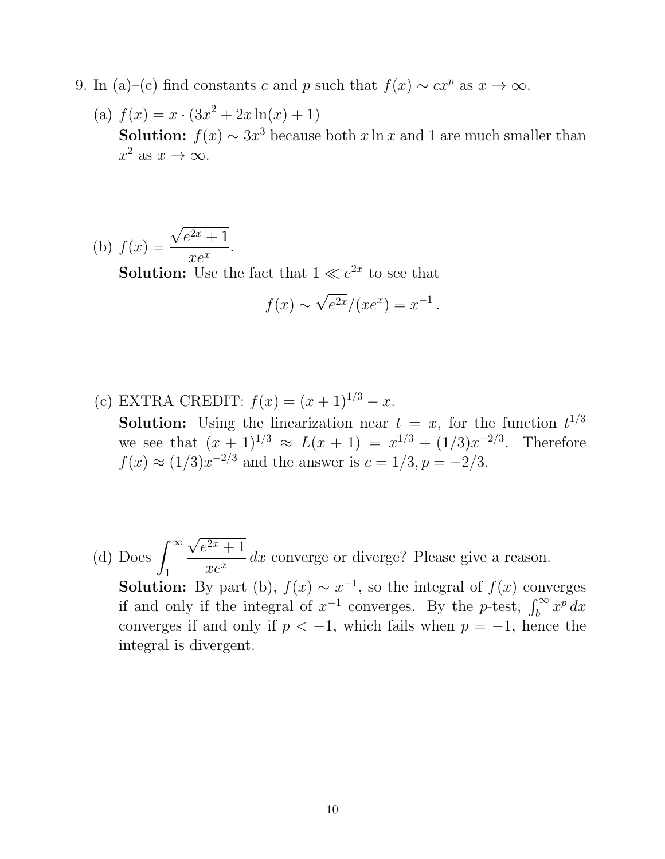- 9. In (a)–(c) find constants c and p such that  $f(x) \sim cx^p$  as  $x \to \infty$ .
	- (a)  $f(x) = x \cdot (3x^2 + 2x \ln(x) + 1)$ **Solution:**  $f(x) \sim 3x^3$  because both x ln x and 1 are much smaller than  $x^2$  as  $x \to \infty$ .

(b) 
$$
f(x) = \frac{\sqrt{e^{2x} + 1}}{xe^x}
$$
.  
\n**Solution:** Use the fact that  $1 \ll e^{2x}$  to see that  
\n
$$
f(x) \sim \sqrt{e^{2x}}/(xe^x) = x^{-1}.
$$

- (c) EXTRA CREDIT:  $f(x) = (x+1)^{1/3} x$ . **Solution:** Using the linearization near  $t = x$ , for the function  $t^{1/3}$ we see that  $(x + 1)^{1/3} \approx L(x + 1) = x^{1/3} + (1/3)x^{-2/3}$ . Therefore  $f(x) \approx (1/3)x^{-2/3}$  and the answer is  $c = 1/3, p = -2/3$ .
- (d) Does  $\int^{\infty}$ 1  $\sqrt{e^{2x}+1}$  $xe^{x}$  $dx$  converge or diverge? Please give a reason. **Solution:** By part (b),  $f(x) \sim x^{-1}$ , so the integral of  $f(x)$  converges if and only if the integral of  $x^{-1}$  converges. By the p-test,  $\int_b^{\infty} x^p dx$ converges if and only if  $p < -1$ , which fails when  $p = -1$ , hence the integral is divergent.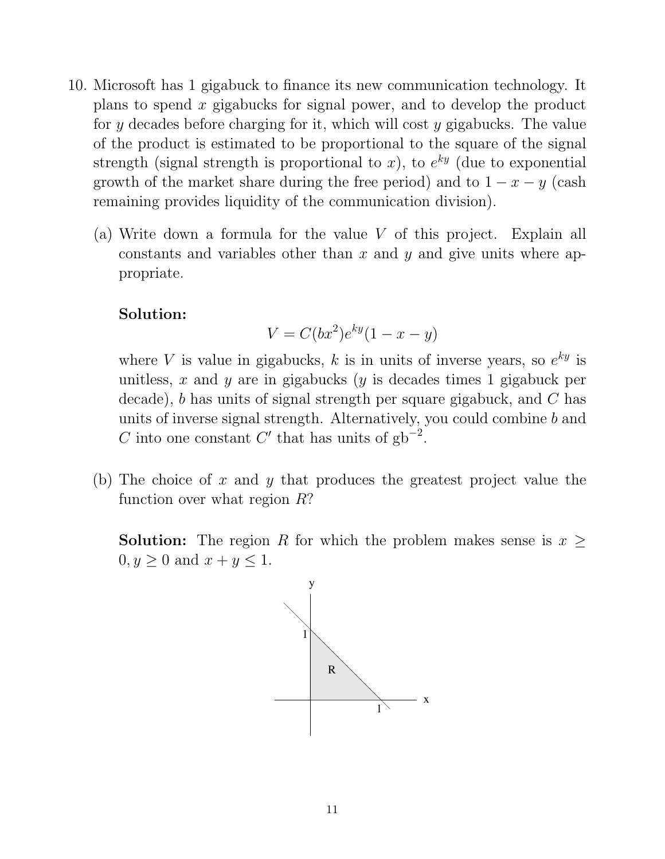- 10. Microsoft has 1 gigabuck to finance its new communication technology. It plans to spend x gigabucks for signal power, and to develop the product for y decades before charging for it, which will cost y gigabucks. The value of the product is estimated to be proportional to the square of the signal strength (signal strength is proportional to x), to  $e^{ky}$  (due to exponential growth of the market share during the free period) and to  $1 - x - y$  (cash remaining provides liquidity of the communication division).
	- (a) Write down a formula for the value V of this project. Explain all constants and variables other than  $x$  and  $y$  and give units where appropriate.

#### Solution:

$$
V = C(bx^2)e^{ky}(1 - x - y)
$$

where V is value in gigabucks, k is in units of inverse years, so  $e^{ky}$  is unitless, x and y are in gigabucks (y is decades times 1 gigabuck per decade), b has units of signal strength per square gigabuck, and C has units of inverse signal strength. Alternatively, you could combine b and C into one constant C' that has units of  $gb^{-2}$ .

(b) The choice of x and y that produces the greatest project value the function over what region R?

**Solution:** The region R for which the problem makes sense is  $x \geq$  $0, y \geq 0$  and  $x + y \leq 1$ .

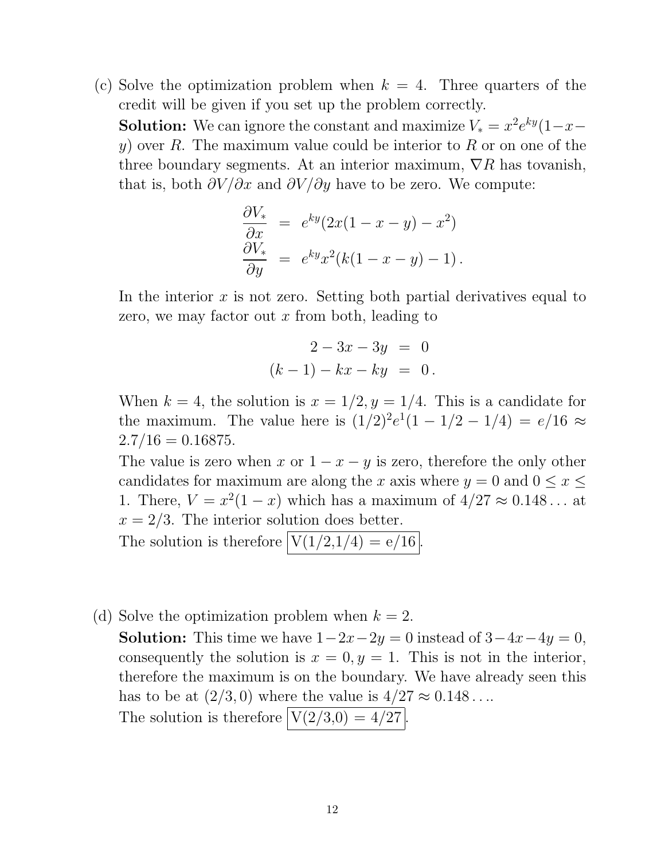(c) Solve the optimization problem when  $k = 4$ . Three quarters of the credit will be given if you set up the problem correctly. **Solution:** We can ignore the constant and maximize  $V_* = x^2 e^{ky} (1 - x$  $y$ ) over R. The maximum value could be interior to R or on one of the three boundary segments. At an interior maximum,  $\nabla R$  has tovanish, that is, both  $\partial V/\partial x$  and  $\partial V/\partial y$  have to be zero. We compute:

$$
\frac{\partial V_*}{\partial x} = e^{ky} (2x(1-x-y) - x^2)
$$

$$
\frac{\partial V_*}{\partial y} = e^{ky} x^2 (k(1-x-y) - 1).
$$

In the interior  $x$  is not zero. Setting both partial derivatives equal to zero, we may factor out  $x$  from both, leading to

$$
2 - 3x - 3y = 0
$$
  
(k-1) - kx - ky = 0.

When  $k = 4$ , the solution is  $x = 1/2, y = 1/4$ . This is a candidate for the maximum. The value here is  $(1/2)^2 e^1(1-1/2-1/4) = e/16 \approx$  $2.7/16 = 0.16875.$ 

The value is zero when x or  $1 - x - y$  is zero, therefore the only other candidates for maximum are along the x axis where  $y = 0$  and  $0 \le x \le$ 1. There,  $V = x^2(1-x)$  which has a maximum of  $4/27 \approx 0.148...$  at  $x = 2/3$ . The interior solution does better.

The solution is therefore  $V(1/2,1/4) = e/16$ .

(d) Solve the optimization problem when  $k = 2$ .

**Solution:** This time we have  $1-2x-2y=0$  instead of  $3-4x-4y=0$ , consequently the solution is  $x = 0, y = 1$ . This is not in the interior, therefore the maximum is on the boundary. We have already seen this has to be at  $(2/3, 0)$  where the value is  $4/27 \approx 0.148...$ 

The solution is therefore  $V(2/3,0) = 4/27$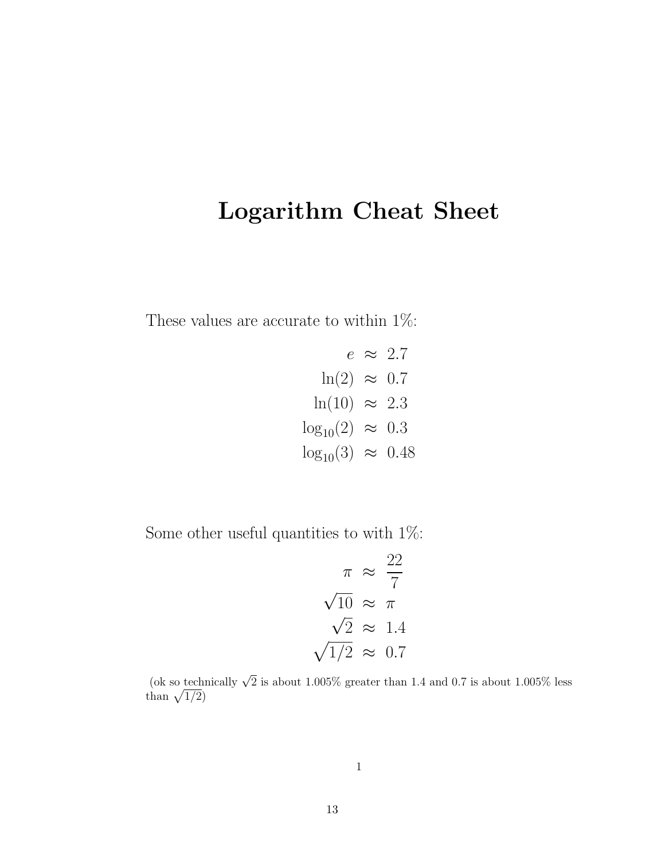# Logarithm Cheat Sheet

These values are accurate to within 1%:

$$
e \approx 2.7
$$
  
\n
$$
\ln(2) \approx 0.7
$$
  
\n
$$
\ln(10) \approx 2.3
$$
  
\n
$$
\log_{10}(2) \approx 0.3
$$
  
\n
$$
\log_{10}(3) \approx 0.48
$$

Some other useful quantities to with  $1\%$ :

$$
\pi \approx \frac{22}{7}
$$

$$
\sqrt{10} \approx \pi
$$

$$
\sqrt{2} \approx 1.4
$$

$$
\sqrt{1/2} \approx 0.7
$$

(ok so technically  $\sqrt{2}$  is about 1.005% greater than 1.4 and 0.7 is about 1.005% less than  $\sqrt{1/2}$ )